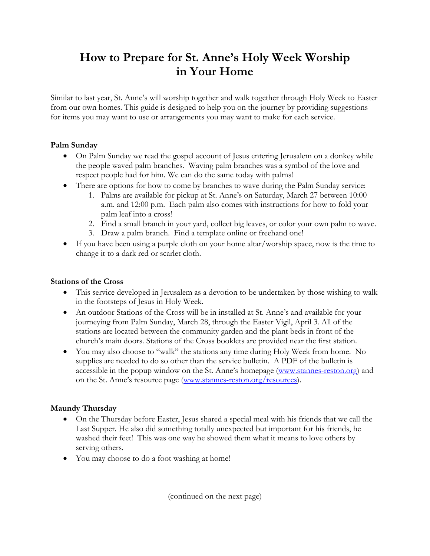# **How to Prepare for St. Anne's Holy Week Worship in Your Home**

Similar to last year, St. Anne's will worship together and walk together through Holy Week to Easter from our own homes. This guide is designed to help you on the journey by providing suggestions for items you may want to use or arrangements you may want to make for each service.

## **Palm Sunday**

- On Palm Sunday we read the gospel account of Jesus entering Jerusalem on a donkey while the people waved palm branches. Waving palm branches was a symbol of the love and respect people had for him. We can do the same today with palms!
- There are options for how to come by branches to wave during the Palm Sunday service:
	- 1. Palms are available for pickup at St. Anne's on Saturday, March 27 between 10:00 a.m. and 12:00 p.m. Each palm also comes with instructions for how to fold your palm leaf into a cross!
	- 2. Find a small branch in your yard, collect big leaves, or color your own palm to wave.
	- 3. Draw a palm branch. Find a template online or freehand one!
- If you have been using a purple cloth on your home altar/worship space, now is the time to change it to a dark red or scarlet cloth.

## **Stations of the Cross**

- This service developed in Jerusalem as a devotion to be undertaken by those wishing to walk in the footsteps of Jesus in Holy Week.
- An outdoor Stations of the Cross will be in installed at St. Anne's and available for your journeying from Palm Sunday, March 28, through the Easter Vigil, April 3. All of the stations are located between the community garden and the plant beds in front of the church's main doors. Stations of the Cross booklets are provided near the first station.
- You may also choose to "walk" the stations any time during Holy Week from home. No supplies are needed to do so other than the service bulletin. A PDF of the bulletin is accessible in the popup window on the St. Anne's homepage (www.stannes-reston.org) and on the St. Anne's resource page (www.stannes-reston.org/resources).

## **Maundy Thursday**

- On the Thursday before Easter, Jesus shared a special meal with his friends that we call the Last Supper. He also did something totally unexpected but important for his friends, he washed their feet! This was one way he showed them what it means to love others by serving others.
- You may choose to do a foot washing at home!

(continued on the next page)